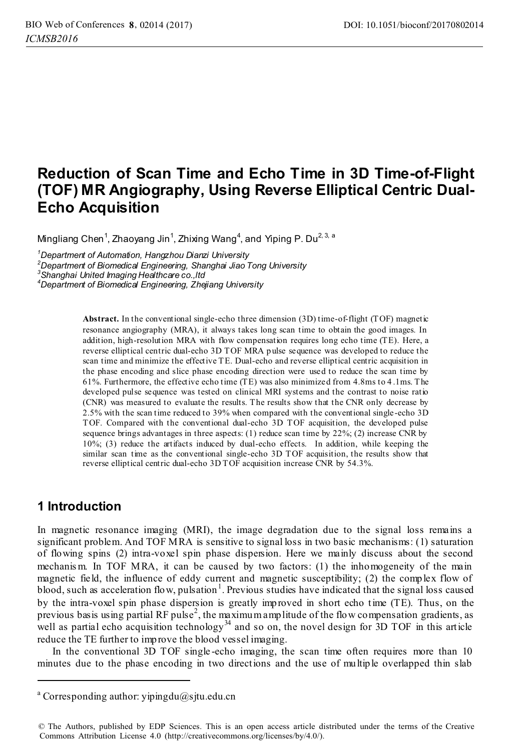# **Reduction of Scan Time and Echo Time in 3D Time-of-Flight (TOF) MR Angiography, Using Reverse Elliptical Centric Dual-Echo Acquisition**

Mingliang Chen<sup>1</sup>, Zhaoyang Jin<sup>1</sup>, Zhixing Wang<sup>4</sup>, and Yiping P. Du<sup>2, 3, a</sup>

*1 Department of Automation, Hangzhou Dianzi University* 

*2 Department of Biomedical Engineering, Shanghai Jiao Tong University 3 Shanghai United Imaging Healthcare co.,ltd* 

*4 Department of Biomedical Engineering, Zhejiang University*

**Abstract.** In the conventional single-echo three dimension (3D) time-of-flight (TOF) magnetic resonance angiography (MRA), it always takes long scan time to obtain the good images. In addition, high-resolution MRA with flow compensation requires long echo time (TE). Here, a reverse elliptical centric dual-echo 3D TOF MRA p ulse sequence was developed to reduce the scan time and minimize the effective TE. Dual-echo and reverse elliptical centric acquisition in the phase encoding and slice phase encoding direction were used to reduce the scan time by 61%. Furthermore, the effective echo time (TE) was also minimized from 4.8ms to 4 .1ms. T he developed pulse sequence was tested on clinical MRI systems and the contrast to noise ratio (CNR) was measured to evaluate the results. The results show that the CNR only decrease by 2.5% with the scan time reduced to 39% when compared with the conventional single-echo 3D TOF. Compared with the conventional dual-echo 3D TOF acquisition, the developed pulse sequence brings advantages in three aspects: (1) reduce scan time by 22%; (2) increase CNR by 10%; (3) reduce the artifacts induced by dual-echo effects. In addition, while keeping the similar scan time as the conventional single-echo 3D TOF acquisition, the results show that reverse elliptical centric dual-echo 3D TOF acquisition increase CNR by 54.3%.

### **1 Introduction**

<u>.</u>

In magnetic resonance imaging (MRI), the image degradation due to the signal loss remains a significant problem. And TOF MRA is sensitive to signal loss in two basic mechanisms: (1) saturation of flowing spins (2) intra-voxel spin phase dispersion. Here we mainly discuss about the second mechanis m. In TOF MRA, it can be caused by two factors: (1) the inhomogeneity of the main magnetic field, the influence of eddy current and magnetic susceptibility; (2) the complex flow of blood, such as acceleration flow, pulsation<sup>1</sup>. Previous studies have indicated that the signal loss caused by the intra-voxel spin phase dispersion is greatly improved in short echo time (TE). Thus, on the previous basis using partial RF pulse<sup>2</sup>, the maximum amplitude of the flow compensation gradients, as well as partial echo acquisition technology<sup>34</sup> and so on, the novel design for  $3D$  TOF in this article reduce the TE further to improve the blood vessel imaging.

In the conventional 3D TOF single -echo imaging, the scan time often requires more than 10 minutes due to the phase encoding in two directions and the use of multiple overlapped thin slab

a Corresponding author: yipingdu@sjtu.edu.cn

<sup>©</sup> The Authors, published by EDP Sciences. This is an open access article distributed under the terms of the Creative Commons Attribution License 4.0 (http://creativecommons.org/licenses/by/4.0/).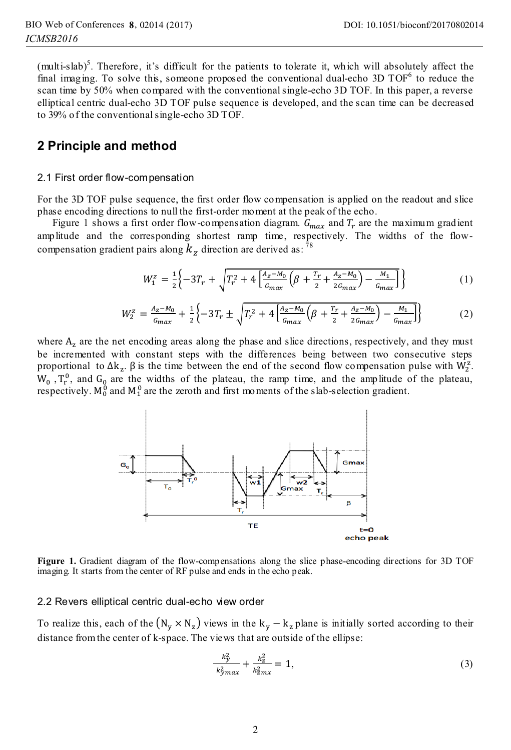(multi-slab)<sup>5</sup>. Therefore, it's difficult for the patients to tolerate it, which will absolutely affect the final imaging. To solve this, someone proposed the conventional dual-echo 3D  $TOF<sup>6</sup>$  to reduce the scan time by 50% when compared with the conventional single-echo 3D TOF. In this paper, a reverse elliptical centric dual-echo 3D TOF pulse sequence is developed, and the scan time can be decreased to 39% of the conventional single-echo 3D TOF.

### **2 Principle and method**

#### 2.1 First order flow-compensation

For the 3D TOF pulse sequence, the first order flow compensation is applied on the readout and slice phase encoding directions to null the first-order moment at the peak of the echo.

Figure 1 shows a first order flow-compensation diagram.  $\hat{G}_{max}$  and  $T_r$  are the maximum gradient amplitude and the corresponding shortest ramp time, respectively. The widths of the flowcompensation gradient pairs along  $k_z$  direction are derived as: <sup>78</sup>

$$
W_1^z = \frac{1}{2} \left\{ -3T_r + \sqrt{T_r^2 + 4 \left[ \frac{A_z - M_0}{G_{max}} \left( \beta + \frac{T_r}{2} + \frac{A_z - M_0}{2G_{max}} \right) - \frac{M_1}{G_{max}} \right]} \right\} \tag{1}
$$

$$
W_2^z = \frac{A_z - M_0}{G_{max}} + \frac{1}{2} \left\{ -3T_r \pm \sqrt{T_r^2 + 4 \left[ \frac{A_z - M_0}{G_{max}} \left( \beta + \frac{T_r}{2} + \frac{A_z - M_0}{2G_{max}} \right) - \frac{M_1}{G_{max}} \right] \right\}
$$
(2)

where  $A<sub>z</sub>$  are the net encoding areas along the phase and slice directions, respectively, and they must be incremented with constant steps with the differences being between two consecutive steps proportional to  $\Delta k_z$ .  $\beta$  is the time between the end of the second flow compensation pulse with  $\dot{W}_2^z$ .  $W_0$ ,  $T_r^0$ , and  $G_0$  are the widths of the plateau, the ramp time, and the amplitude of the plateau, respectively.  $M_0^0$  and  $M_1^0$  are the zeroth and first moments of the slab-selection gradient.



**Figure 1.** Gradient diagram of the flow-compensations along the slice phase-encoding directions for 3D TOF imaging. It starts from the center of RF pulse and ends in the echo peak.

#### 2.2 Revers elliptical centric dual-echo view order

To realize this, each of the  $(N_v \times N_z)$  views in the  $k_v - k_z$  plane is initially sorted according to their distance from the center of k-space. The views that are outside of the ellipse:

$$
\frac{k_y^2}{k_{\rm y}^2 m x} + \frac{k_z^2}{k_{\rm z}^2 m x} = 1,\tag{3}
$$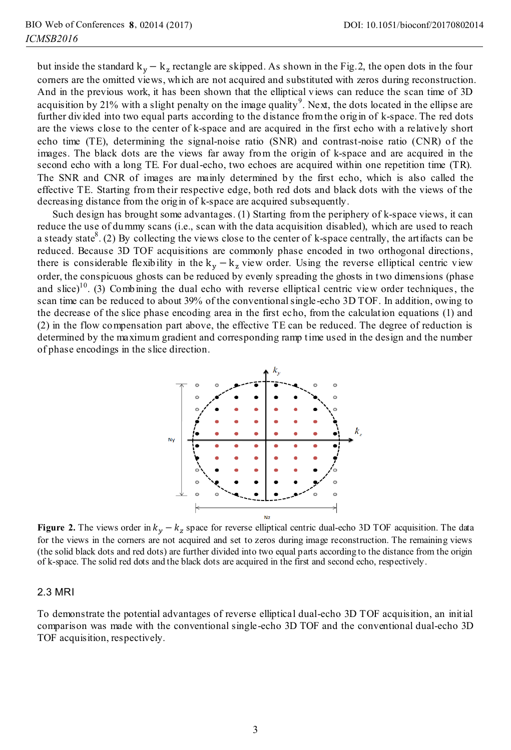but inside the standard  $k_y - k_z$  rectangle are skipped. As shown in the Fig.2, the open dots in the four corners are the omitted views, which are not acquired and substituted with zeros during reconstruction. And in the previous work, it has been shown that the elliptical views can reduce the scan time of 3D acquisition by 21% with a slight penalty on the image quality<sup>9</sup>. Next, the dots located in the ellipse are further divided into two equal parts according to the distance from the origin of k-space. The red dots are the views close to the center of k-space and are acquired in the first echo with a relatively short echo time (TE), determining the signal-noise ratio (SNR) and contrast-noise ratio (CNR) of the images. The black dots are the views far away from the origin of k-space and are acquired in the second echo with a long TE. For dual-echo, two echoes are acquired within one repetition time (TR). The SNR and CNR of images are mainly determined by the first echo, which is also called the effective TE. Starting from their respective edge, both red dots and black dots with the views of the decreasing distance from the origin of k-space are acquired subsequently.

Such design has brought some advantages. (1) Starting from the periphery of k-space views, it can reduce the use of dummy scans (i.e., scan with the data acquisition disabled), which are used to reach a steady state<sup>8</sup>. (2) By collecting the views close to the center of k-space centrally, the artifacts can be reduced. Because 3D TOF acquisitions are commonly phase encoded in two orthogonal directions, there is considerable flexibility in the  $k_y - k_z$  view order. Using the reverse elliptical centric view order, the conspicuous ghosts can be reduced by evenly spreading the ghosts in two dimensions (phase and slice)<sup>10</sup>. (3) Combining the dual echo with reverse elliptical centric view order techniques, the scan time can be reduced to about 39% of the conventional single-echo 3D TOF. In addition, owing to the decrease of the slice phase encoding area in the first echo, from the calculation equations (1) and (2) in the flow compensation part above, the effective TE can be reduced. The degree of reduction is determined by the maximum gradient and corresponding ramp time used in the design and the number of phase encodings in the slice direction.



**Figure 2.** The views order in  $k_y - k_z$  space for reverse elliptical centric dual-echo 3D TOF acquisition. The data for the views in the corners are not acquired and set to zeros during image reconstruction. The remaining views (the solid black dots and red dots) are further divided into two equal parts according to the distance from the origin of k-space. The solid red dots and the black dots are acquired in the first and second echo, respectively.

#### 2.3 MRI

To demonstrate the potential advantages of reverse elliptical dual-echo 3D TOF acquisition, an initial comparison was made with the conventional single-echo 3D TOF and the conventional dual-echo 3D TOF acquisition, respectively.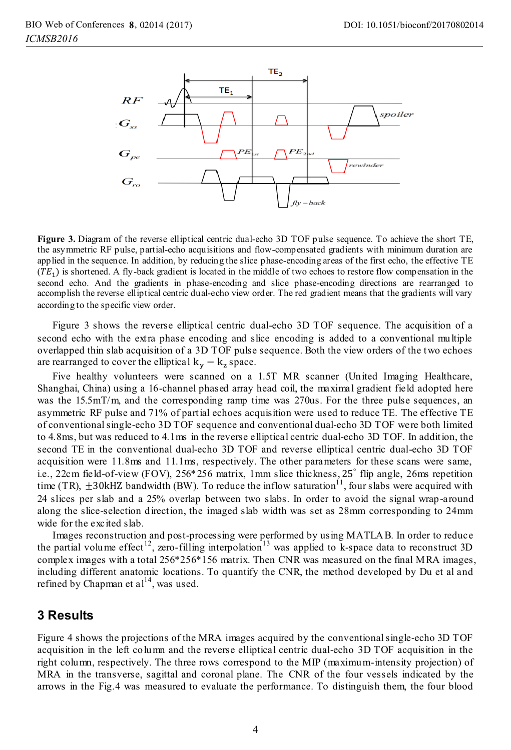

**Figure 3.** Diagram of the reverse elliptical centric dual-echo 3D TOF pulse sequence. To achieve the short TE, the asymmetric RF pulse, partial-echo acquisitions and flow-compensated gradients with minimum duration are applied in the sequence. In addition, by reducing the slice phase-encoding areas of the first echo, the effective TE  $(TE<sub>1</sub>)$  is shortened. A fly-back gradient is located in the middle of two echoes to restore flow compensation in the second echo. And the gradients in phase-encoding and slice phase-encoding directions are rearranged to accomplish the reverse elliptical centric dual-echo view order. The red gradient means that the gradients will vary according to the specific view order.

Figure 3 shows the reverse elliptical centric dual-echo 3D TOF sequence. The acquisition of a second echo with the extra phase encoding and slice encoding is added to a conventional multiple overlapped thin slab acquisition of a 3D TOF pulse sequence. Both the view orders of the two echoes are rearranged to cover the elliptical  $k_v - k_z$  space.

Five healthy volunteers were scanned on a 1.5T MR scanner (United Imaging Healthcare, Shanghai, China) using a 16-channel phased array head coil, the maximal gradient field adopted here was the 15.5mT/m, and the corresponding ramp time was 270us. For the three pulse sequences, an asymmetric RF pulse and 71% of partial echoes acquisition were used to reduce TE. The effective TE of conventional single-echo 3D TOF sequence and conventional dual-echo 3D TOF were both limited to 4.8ms, but was reduced to 4.1ms in the reverse elliptical centric dual-echo 3D TOF. In addition, the second TE in the conventional dual-echo 3D TOF and reverse elliptical centric dual-echo 3D TOF acquisition were 11.8ms and 11.1ms, respectively. The other parameters for these scans were same, i.e., 22cm field-of-view (FOV), 256\*256 matrix, 1mm slice thickness, 25° flip angle, 26ms repetition time (TR),  $\pm 30$ kHZ bandwidth (BW). To reduce the inflow saturation<sup>11</sup>, four slabs were acquired with 24 slices per slab and a 25% overlap between two slabs. In order to avoid the signal wrap-around along the slice-selection direction, the imaged slab width was set as 28mm corresponding to 24mm wide for the excited slab.

Images reconstruction and post-processing were performed by using MATLA B. In order to reduce the partial volume effect<sup>12</sup>, zero-filling interpolation<sup>13</sup> was applied to k-space data to reconstruct 3D complex images with a total 256\*256\*156 matrix. Then CNR was measured on the final MRA images, including different anatomic locations. To quantify the CNR, the method developed by Du et al and refined by Chapman et  $a1^{14}$ , was used.

### **3 Results**

Figure 4 shows the projections of the MRA images acquired by the conventional single-echo 3D TOF acquisition in the left column and the reverse elliptical centric dual-echo 3D TOF acquisition in the right column, respectively. The three rows correspond to the MIP (maximum-intensity projection) of MRA in the transverse, sagittal and coronal plane. The CNR of the four vessels indicated by the arrows in the Fig.4 was measured to evaluate the performance. To distinguish them, the four blood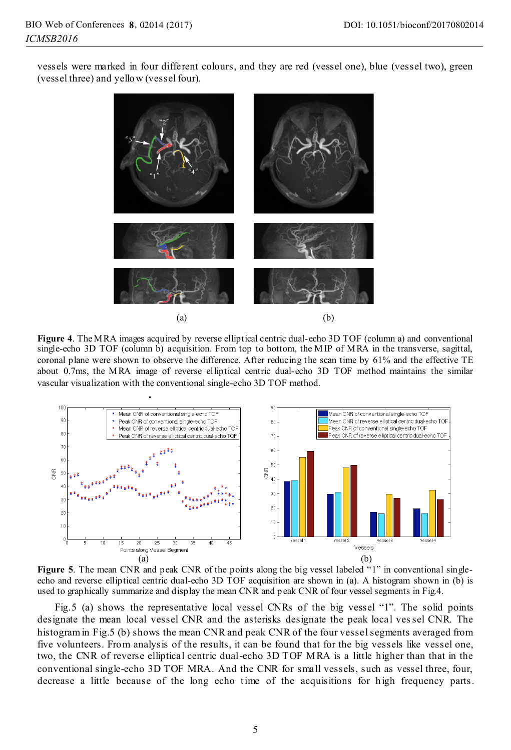vessels were marked in four different colours, and they are red (vessel one), blue (vessel two), green (vessel three) and yellow (vessel four).



Figure 4. The MRA images acquired by reverse elliptical centric dual-echo 3D TOF (column a) and conventional single-echo 3D TOF (column b) acquisition. From top to bottom, the MIP of MRA in the transverse, sagittal, coronal plane were shown to observe the difference. After reducing the scan time by 61% and the effective TE about 0.7ms, the MRA image of reverse elliptical centric dual-echo 3D TOF method maintains the similar vascular visualization with the conventional single-echo 3D TOF method.



**Figure 5**. The mean CNR and peak CNR of the points along the big vessel labeled "1" in conventional singleecho and reverse elliptical centric dual-echo 3D TOF acquisition are shown in (a). A histogram shown in (b) is used to graphically summarize and display the mean CNR and p eak CNR of four vessel segments in Fig.4.

 Fig.5 (a) shows the representative local vessel CNRs of the big vessel "1". The solid points designate the mean local vessel CNR and the asterisks designate the peak local ves sel CNR. The histogram in Fig.5 (b) shows the mean CNR and peak CNR of the four vessel segments averaged from five volunteers. From analysis of the results, it can be found that for the big vessels like vessel one, two, the CNR of reverse elliptical centric dual-echo 3D TOF MRA is a little higher than that in the conventional single-echo 3D TOF MRA. And the CNR for small vessels, such as vessel three, four, decrease a little because of the long echo time of the acquisitions for high frequency parts.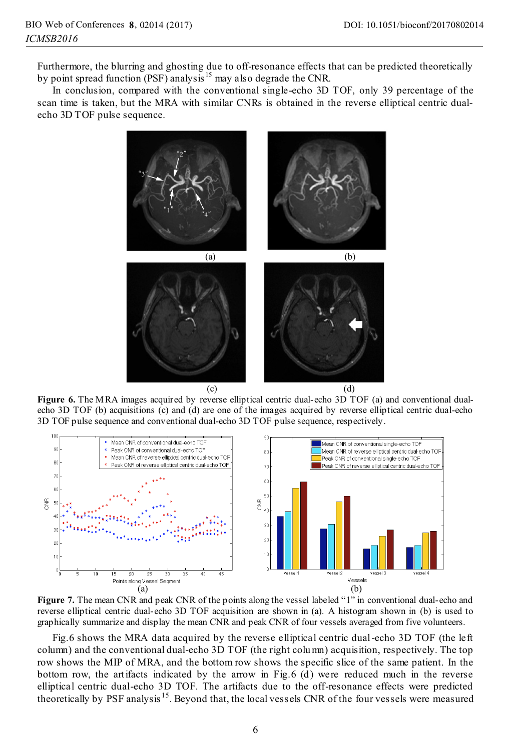Furthermore, the blurring and ghosting due to off-resonance effects that can be predicted theoretically by point spread function (PSF) analysis<sup>15</sup> may also degrade the CNR.

In conclusion, compared with the conventional single-echo 3D TOF, only 39 percentage of the scan time is taken, but the MRA with similar CNRs is obtained in the reverse elliptical centric dualecho 3D TOF pulse sequence.



**Figure 6.** The MRA images acquired by reverse elliptical centric dual-echo 3D TOF (a) and conventional dualecho 3D TOF (b) acquisitions (c) and (d) are one of the images acquired by reverse elliptical centric dual-echo 3D TOF pulse sequence and conventional dual-echo 3D TOF pulse sequence, respectively.



**Figure 7.** The mean CNR and peak CNR of the points along the vessel labeled "1" in conventional dual-echo and reverse elliptical centric dual-echo 3D TOF acquisition are shown in (a). A histogram shown in (b) is used to graphically summarize and display the mean CNR and peak CNR of four vessels averaged from five volunteers.

Fig.6 shows the MRA data acquired by the reverse elliptical centric dual -echo 3D TOF (the left column) and the conventional dual-echo 3D TOF (the right colu mn) acquisition, respectively. The top row shows the MIP of MRA, and the bottom row shows the specific slice of the same patient. In the bottom row, the artifacts indicated by the arrow in Fig.6 (d) were reduced much in the reverse elliptical centric dual-echo 3D TOF. The artifacts due to the off-resonance effects were predicted theoretically by PSF analysis 15. Beyond that, the local vessels CNR of the four vessels were measured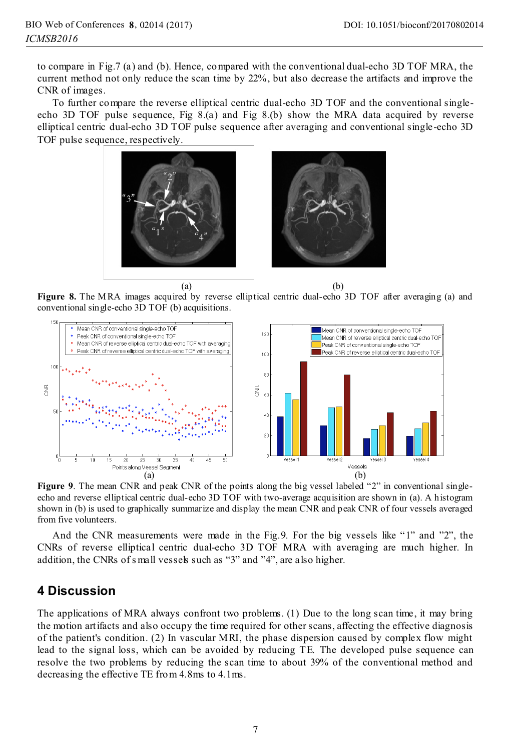to compare in Fig.7 (a) and (b). Hence, compared with the conventional dual-echo 3D TOF MRA, the current method not only reduce the scan time by 22%, but also decrease the artifacts and improve the CNR of images.

To further compare the reverse elliptical centric dual-echo 3D TOF and the conventional singleecho 3D TOF pulse sequence, Fig 8.(a) and Fig 8.(b) show the MRA data acquired by reverse elliptical centric dual-echo 3D TOF pulse sequence after averaging and conventional single-echo 3D TOF pulse sequence, respectively.



 $(a)$  (b) **Figure 8.** The MRA images acquired by reverse elliptical centric dual-echo 3D TOF after averaging (a) and conventional single-echo 3D TOF (b) acquisitions conventional single-echo 3D TOF (b) acquisitions.



**Figure 9**. The mean CNR and peak CNR of the points along the big vessel labeled "2" in conventional singleecho and reverse elliptical centric dual-echo 3D TOF with two-average acquisition are shown in (a). A histogram shown in (b) is used to graphically summarize and display the mean CNR and peak CNR of four vessels averaged from five volunteers.

And the CNR measurements were made in the Fig.9. For the big vessels like "1" and "2", the CNRs of reverse elliptical centric dual-echo 3D TOF MRA with averaging are much higher. In addition, the CNRs of s mall vessels such as "3" and "4", are also higher.

# **4 Discussion**

The applications of MRA always confront two problems. (1) Due to the long scan time, it may bring the motion artifacts and also occupy the time required for other scans, affecting the effective diagnosis of the patient's condition. (2) In vascular MRI, the phase dispersion caused by complex flow might lead to the signal loss, which can be avoided by reducing TE. The developed pulse sequence can resolve the two problems by reducing the scan time to about 39% of the conventional method and decreasing the effective TE from 4.8ms to 4.1ms.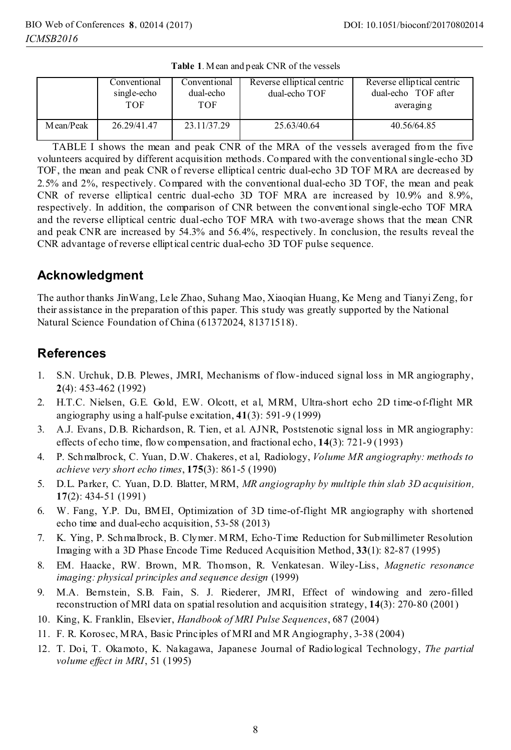|           | Conventional<br>single-echo<br>TOF | Conventional<br>dual-echo<br>TOF | Reverse elliptical centric<br>dual-echo TOF | Reverse elliptical centric<br>dual-echo TOF after<br>averaging |
|-----------|------------------------------------|----------------------------------|---------------------------------------------|----------------------------------------------------------------|
| Mean/Peak | 26.29/41.47                        | 23.11/37.29                      | 25.63/40.64                                 | 40.56/64.85                                                    |

**Table 1**. Mean and peak CNR of the vessels

TABLE I shows the mean and peak CNR of the MRA of the vessels averaged from the five volunteers acquired by different acquisition methods. Compared with the conventional single-echo 3D TOF, the mean and peak CNR of reverse elliptical centric dual-echo 3D TOF MRA are decreased by 2.5% and 2%, respectively. Compared with the conventional dual-echo 3D TOF, the mean and peak CNR of reverse elliptical centric dual-echo 3D TOF MRA are increased by 10.9% and 8.9%, respectively. In addition, the comparison of CNR between the conventional single-echo TOF MRA and the reverse elliptical centric dual-echo TOF MRA with two-average shows that the mean CNR and peak CNR are increased by 54.3% and 56.4%, respectively. In conclusion, the results reveal the CNR advantage of reverse elliptical centric dual-echo 3D TOF pulse sequence.

# **Acknowledgment**

The author thanks JinWang, Lele Zhao, Suhang Mao, Xiaoqian Huang, Ke Meng and Tianyi Zeng, for their assistance in the preparation of this paper. This study was greatly supported by the National Natural Science Foundation of China (61372024, 81371518).

# **References**

- 1. S.N. Urchuk, D.B. Plewes, JMRI, Mechanisms of flow-induced signal loss in MR angiography, **2**(4): 453-462 (1992)
- 2. H.T.C. Nielsen, G.E. Gold, E.W. Olcott, et al, MRM, Ultra-short echo 2D time-of-flight MR angiography using a half-pulse excitation, **41**(3): 591-9 (1999)
- 3. A.J. Evans, D.B. Richardson, R. Tien, et al. AJNR, Poststenotic signal loss in MR angiography: effects of echo time, flow compensation, and fractional echo, **14**(3): 721-9 (1993)
- 4. P. Schmalbrock, C. Yuan, D.W. Chakeres, et al, Radiology, *Volume MR angiography: methods to achieve very short echo times*, **175**(3): 861-5 (1990)
- 5. D.L. Parker, C. Yuan, D.D. Blatter, MRM, *MR angiography by multiple thin slab 3D acquisition,* **17**(2): 434-51 (1991)
- 6. W. Fang, Y.P. Du, BMEI, Optimization of 3D time-of-flight MR angiography with shortened echo time and dual-echo acquisition, 53-58 (2013)
- 7. K. Ying, P. Schmalbrock, B. Clymer. MRM, Echo-Time Reduction for Submillimeter Resolution Imaging with a 3D Phase Encode Time Reduced Acquisition Method, **33**(1): 82-87 (1995)
- 8. EM. Haacke, RW. Brown, MR. Thomson, R. Venkatesan. Wiley-Liss, *Magnetic resonance imaging: physical principles and sequence design* (1999)
- 9. M.A. Bernstein, S.B. Fain, S. J. Riederer, JMRI, Effect of windowing and zero-filled reconstruction of MRI data on spatial resolution and acquisition strategy, **14**(3): 270-80 (2001)
- 10. King, K. Franklin, Elsevier, *Handbook of MRI Pulse Sequences*, 687 (2004)
- 11. F. R. Korosec, MRA, Basic Principles of MRI and MR Angiography, 3-38 (2004)
- 12. T. Doi, T. Okamoto, K. Nakagawa, Japanese Journal of Radiological Technology, *The partial volume effect in MRI*, 51 (1995)